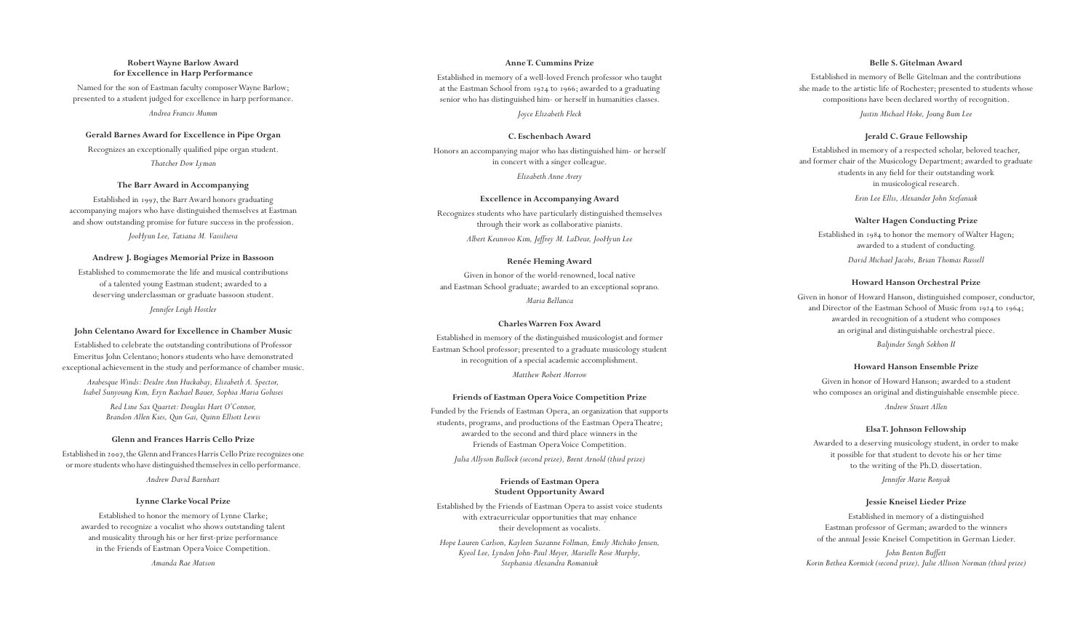# **Robert Wayne Barlow Award for Excellence in Harp Performance**

Named for the son of Eastman faculty composer Wayne Barlow; presented to a student judged for excellence in harp performance.

*Andrea Francis Mumm*

#### **Gerald Barnes Award for Excellence in Pipe Organ**

Recognizes an exceptionally qualified pipe organ student. *Thatcher Dow Lyman*

#### **The Barr Award in Accompanying**

Established in 1997, the Barr Award honors graduating accompanying majors who have distinguished themselves at Eastman and show outstanding promise for future success in the profession.

*JooHyun Lee, Tatiana M. Vassilieva*

#### **Andrew J. Bogiages Memorial Prize in Bassoon**

Established to commemorate the life and musical contributions of a talented young Eastman student; awarded to a deserving underclassman or graduate bassoon student.

*Jennifer Leigh Hostler*

#### **John Celentano Award for Excellence in Chamber Music**

Established to celebrate the outstanding contributions of Professor Emeritus John Celentano; honors students who have demonstrated exceptional achievement in the study and performance of chamber music.

*Arabesque Winds: Deidre Ann Huckabay, Elizabeth A. Spector, Isabel Sunyoung Kim, Eryn Rachael Bauer, Sophia Maria Goluses*

> *Red Line Sax Quartet: Douglas Hart O'Connor, Brandon Allen Kies, Qun Gai, Quinn Elliott Lewis*

# **Glenn and Frances Harris Cello Prize**

Established in 2007, the Glenn and Frances Harris Cello Prize recognizes one or more students who have distinguished themselves in cello performance.

*Andrew David Barnhart*

# **Lynne Clarke Vocal Prize**

Established to honor the memory of Lynne Clarke; awarded to recognize a vocalist who shows outstanding talent and musicality through his or her first-prize performance in the Friends of Eastman Opera Voice Competition.

*Amanda Rae Matson*

# **Anne T. Cummins Prize**

Established in memory of a well-loved French professor who taught at the Eastman School from 1924 to 1966; awarded to a graduating senior who has distinguished him- or herself in humanities classes.

*Joyce Elizabeth Fleck*

#### **C. Eschenbach Award**

Honors an accompanying major who has distinguished him- or herself in concert with a singer colleague. *Elizabeth Anne Avery*

#### **Excellence in Accompanying Award**

Recognizes students who have particularly distinguished themselves through their work as collaborative pianists. *Albert Keunwoo Kim, Jeffrey M. LaDeur, JooHyun Lee*

#### **Renée Fleming Award**

Given in honor of the world-renowned, local native and Eastman School graduate; awarded to an exceptional soprano.

*Maria Bellanca*

# **Charles Warren Fox Award**

Established in memory of the distinguished musicologist and former Eastman School professor; presented to a graduate musicology student in recognition of a special academic accomplishment.

*Matthew Robert Morrow*

# **Friends of Eastman Opera Voice Competition Prize**

Funded by the Friends of Eastman Opera, an organization that supports students, programs, and productions of the Eastman Opera Theatre; awarded to the second and third place winners in the Friends of Eastman Opera Voice Competition.

*Julia Allyson Bullock (second prize), Brent Arnold (third prize)*

#### **Friends of Eastman Opera Student Opportunity Award**

Established by the Friends of Eastman Opera to assist voice students with extracurricular opportunities that may enhance their development as vocalists.

*Hope Lauren Carlson, Kayleen Suzanne Follman, Emily Michiko Jensen, Kyeol Lee, Lyndon John-Paul Meyer, Marielle Rose Murphy, Stephania Alexandra Romaniuk*

# **Belle S. Gitelman Award**

Established in memory of Belle Gitelman and the contributions she made to the artistic life of Rochester; presented to students whose compositions have been declared worthy of recognition.

*Justin Michael Hoke, Joung Bum Lee*

# **Jerald C. Graue Fellowship**

Established in memory of a respected scholar, beloved teacher, and former chair of the Musicology Department; awarded to graduate students in any field for their outstanding work in musicological research.

*Erin Lee Ellis, Alexander John Stefaniak*

# **Walter Hagen Conducting Prize**

Established in 1984 to honor the memory of Walter Hagen; awarded to a student of conducting.

*David Michael Jacobs, Brian Thomas Russell*

#### **Howard Hanson Orchestral Prize**

Given in honor of Howard Hanson, distinguished composer, conductor, and Director of the Eastman School of Music from 1924 to 1964; awarded in recognition of a student who composes an original and distinguishable orchestral piece.

*Baljinder Singh Sekhon II*

#### **Howard Hanson Ensemble Prize**

Given in honor of Howard Hanson; awarded to a student who composes an original and distinguishable ensemble piece.

*Andrew Stuart Allen*

#### **Elsa T. Johnson Fellowship**

Awarded to a deserving musicology student, in order to make it possible for that student to devote his or her time to the writing of the Ph.D. dissertation.

*Jennifer Marie Ronyak*

# **Jessie Kneisel Lieder Prize**

Established in memory of a distinguished Eastman professor of German; awarded to the winners of the annual Jessie Kneisel Competition in German Lieder.

*John Benton Buffett Korin Bethea Kormick (second prize), Julie Allison Norman (third prize)*